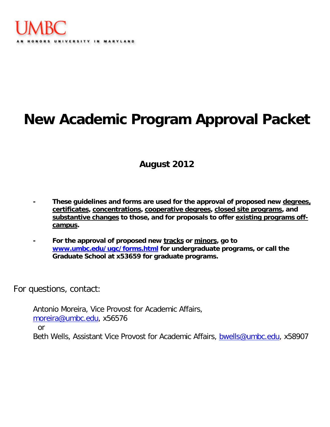

# **New Academic Program Approval Packet**

## **August 2012**

- **- These guidelines and forms are used for the approval of proposed new degrees, certificates, concentrations, cooperative degrees, closed site programs, and substantive changes to those, and for proposals to offer existing programs offcampus.**
- **- For the approval of proposed new tracks or minors, go to [www.umbc.edu/ugc/forms.html](http://www.umbc.edu/ugc/forms.html) for undergraduate programs, or call the Graduate School at x53659 for graduate programs.**

For questions, contact:

Antonio Moreira, Vice Provost for Academic Affairs, [moreira@umbc.edu,](mailto:moreira@umbc.edu) x56576 or Beth Wells, Assistant Vice Provost for Academic Affairs, [bwells@umbc.edu,](mailto:bwells@umbc.edu) x58907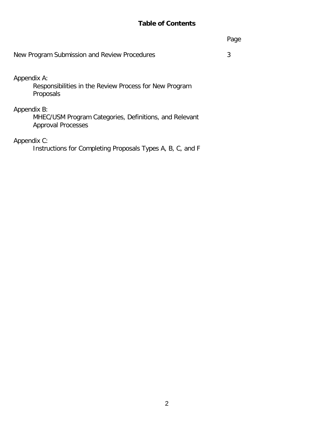### **Table of Contents**

|                                                                                    | Page |
|------------------------------------------------------------------------------------|------|
| New Program Submission and Review Procedures                                       | 3    |
| Appendix A:<br>Responsibilities in the Review Process for New Program<br>Proposals |      |
| Appendix B:                                                                        |      |

MHEC/USM Program Categories, Definitions, and Relevant Approval Processes

### Appendix C:

Instructions for Completing Proposals Types A, B, C, and F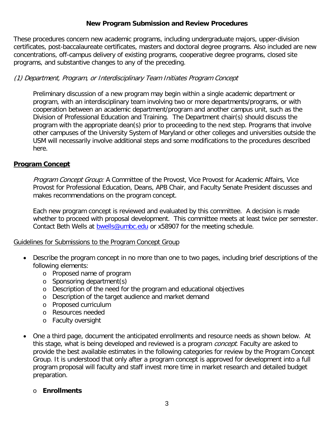### **New Program Submission and Review Procedures**

These procedures concern new academic programs, including undergraduate majors, upper-division certificates, post-baccalaureate certificates, masters and doctoral degree programs. Also included are new concentrations, off-campus delivery of existing programs, cooperative degree programs, closed site programs, and substantive changes to any of the preceding.

### (1) Department, Program, or Interdisciplinary Team Initiates Program Concept

Preliminary discussion of a new program may begin within a single academic department or program, with an interdisciplinary team involving two or more departments/programs, or with cooperation between an academic department/program and another campus unit, such as the Division of Professional Education and Training. The Department chair(s) should discuss the program with the appropriate dean(s) prior to proceeding to the next step. Programs that involve other campuses of the University System of Maryland or other colleges and universities outside the USM will necessarily involve additional steps and some modifications to the procedures described here.

### **Program Concept**

Program Concept Group: A Committee of the Provost, Vice Provost for Academic Affairs, Vice Provost for Professional Education, Deans, APB Chair, and Faculty Senate President discusses and makes recommendations on the program concept.

Each new program concept is reviewed and evaluated by this committee. A decision is made whether to proceed with proposal development. This committee meets at least twice per semester. Contact Beth Wells at **bwells@umbc.edu** or x58907 for the meeting schedule.

### Guidelines for Submissions to the Program Concept Group

- Describe the program concept in no more than one to two pages, including brief descriptions of the following elements:
	- o Proposed name of program
	- o Sponsoring department(s)
	- o Description of the need for the program and educational objectives
	- o Description of the target audience and market demand
	- o Proposed curriculum
	- o Resources needed
	- o Faculty oversight
- One a third page, document the anticipated enrollments and resource needs as shown below. At this stage, what is being developed and reviewed is a program *concept*. Faculty are asked to provide the best available estimates in the following categories for review by the Program Concept Group. It is understood that only after a program concept is approved for development into a full program proposal will faculty and staff invest more time in market research and detailed budget preparation.

### o **Enrollments**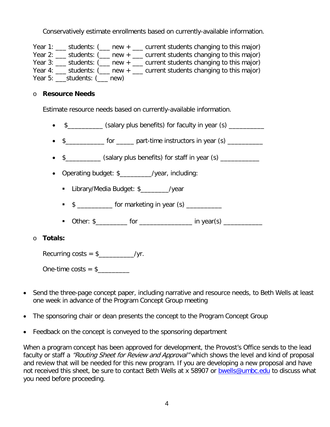Conservatively estimate enrollments based on currently-available information.

Year 1: \_\_\_ students: (\_\_\_ new + \_\_\_ current students changing to this major) Year 2: \_\_\_ students: (\_\_ new + \_\_ current students changing to this major) Year 3: \_\_\_ students: (\_\_\_ new + \_\_\_ current students changing to this major) Year 4: \_\_\_ students: (\_\_\_ new + \_\_\_ current students changing to this major) Year 5: students: (new)

### o **Resource Needs**

Estimate resource needs based on currently-available information.

- \$\_\_\_\_\_\_\_\_\_\_ (salary plus benefits) for faculty in year (s) \_\_\_\_\_\_\_\_\_\_
- $\frac{1}{2}$   $\frac{1}{2}$  for  $\frac{1}{2}$  part-time instructors in year (s)  $\frac{1}{2}$
- \$ (salary plus benefits) for staff in year (s)
- Operating budget: \$\_\_\_\_\_\_\_\_\_/year, including:
	- Library/Media Budget: \$\_\_\_\_\_\_\_\_/year
	- $\bullet$  \$ \_\_\_\_\_\_\_\_\_\_\_ for marketing in year (s) \_\_\_\_\_\_\_\_\_
	- Other: \$\_\_\_\_\_\_\_\_\_ for \_\_\_\_\_\_\_\_\_\_\_\_\_\_\_ in year(s) \_\_\_\_\_\_\_\_\_\_\_

### o **Totals:**

Recurring  $costs = $$ \_\_\_\_\_\_\_\_\_\_/yr.

One-time costs =  $\frac{1}{2}$ 

- Send the three-page concept paper, including narrative and resource needs, to Beth Wells at least one week in advance of the Program Concept Group meeting
- The sponsoring chair or dean presents the concept to the Program Concept Group
- Feedback on the concept is conveyed to the sponsoring department

When a program concept has been approved for development, the Provost's Office sends to the lead faculty or staff a *"Routing Sheet for Review and Approval"* which shows the level and kind of proposal and review that will be needed for this new program. If you are developing a new proposal and have not received this sheet, be sure to contact Beth Wells at x 58907 or [bwells@umbc.edu](mailto:bwells@umbc.edu) to discuss what you need before proceeding.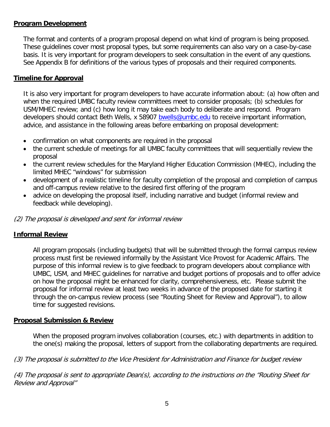### **Program Development**

The format and contents of a program proposal depend on what kind of program is being proposed. These guidelines cover most proposal types, but some requirements can also vary on a case-by-case basis. It is very important for program developers to seek consultation in the event of any questions. See Appendix B for definitions of the various types of proposals and their required components.

### **Timeline for Approval**

It is also very important for program developers to have accurate information about: (a) how often and when the required UMBC faculty review committees meet to consider proposals; (b) schedules for USM/MHEC review; and (c) how long it may take each body to deliberate and respond. Program developers should contact Beth Wells, x 58907 [bwells@umbc.edu](mailto:bwells@umbc.edu) to receive important information, advice, and assistance in the following areas before embarking on proposal development:

- confirmation on what components are required in the proposal
- the current schedule of meetings for all UMBC faculty committees that will sequentially review the proposal
- the current review schedules for the Maryland Higher Education Commission (MHEC), including the limited MHEC "windows" for submission
- development of a realistic timeline for faculty completion of the proposal and completion of campus and off-campus review relative to the desired first offering of the program
- advice on developing the proposal itself, including narrative and budget (informal review and feedback while developing).

(2) The proposal is developed and sent for informal review

### **Informal Review**

All program proposals (including budgets) that will be submitted through the formal campus review process must first be reviewed informally by the Assistant Vice Provost for Academic Affairs. The purpose of this informal review is to give feedback to program developers about compliance with UMBC, USM, and MHEC guidelines for narrative and budget portions of proposals and to offer advice on how the proposal might be enhanced for clarity, comprehensiveness, etc. Please submit the proposal for informal review at least two weeks in advance of the proposed date for starting it through the on-campus review process (see "Routing Sheet for Review and Approval"), to allow time for suggested revisions.

### **Proposal Submission & Review**

When the proposed program involves collaboration (courses, etc.) with departments in addition to the one(s) making the proposal, letters of support from the collaborating departments are required.

(3) The proposal is submitted to the Vice President for Administration and Finance for budget review

(4) The proposal is sent to appropriate Dean(s), according to the instructions on the "Routing Sheet for Review and Approval"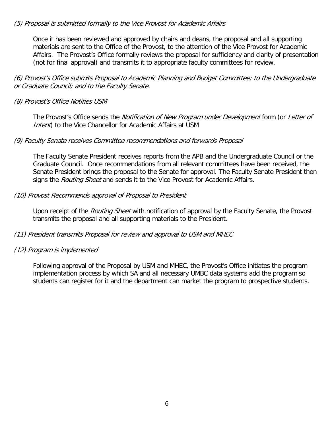### (5) Proposal is submitted formally to the Vice Provost for Academic Affairs

Once it has been reviewed and approved by chairs and deans, the proposal and all supporting materials are sent to the Office of the Provost, to the attention of the Vice Provost for Academic Affairs. The Provost's Office formally reviews the proposal for sufficiency and clarity of presentation (not for final approval) and transmits it to appropriate faculty committees for review.

(6) Provost's Office submits Proposal to Academic Planning and Budget Committee; to the Undergraduate or Graduate Council; and to the Faculty Senate.

### (8) Provost's Office Notifies USM

The Provost's Office sends the *Notification of New Program under Development* form (or Letter of Intent) to the Vice Chancellor for Academic Affairs at USM

### (9) Faculty Senate receives Committee recommendations and forwards Proposal

The Faculty Senate President receives reports from the APB and the Undergraduate Council or the Graduate Council. Once recommendations from all relevant committees have been received, the Senate President brings the proposal to the Senate for approval. The Faculty Senate President then signs the *Routing Sheet* and sends it to the Vice Provost for Academic Affairs.

### (10) Provost Recommends approval of Proposal to President

Upon receipt of the *Routing Sheet* with notification of approval by the Faculty Senate, the Provost transmits the proposal and all supporting materials to the President.

### (11) President transmits Proposal for review and approval to USM and MHEC

### (12) Program is implemented

Following approval of the Proposal by USM and MHEC, the Provost's Office initiates the program implementation process by which SA and all necessary UMBC data systems add the program so students can register for it and the department can market the program to prospective students.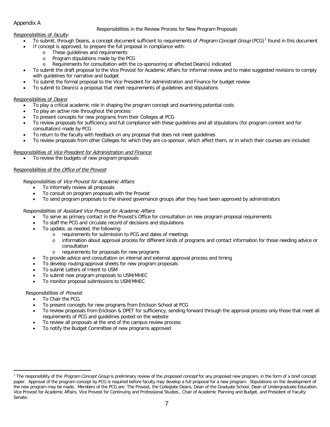#### Appendix A

#### Responsibilities in the Review Process for New Program Proposals

#### Responsibilities of *faculty*:

- To submit, through Deans, a concept document sufficient to requirements of *Program Concept Group* (PCG)<sup>[1](#page-6-0)</sup> found in this document
	- If concept is approved, to prepare the full proposal in compliance with:
		- o These guidelines and requirements<br>
		o Program stipulations made by the P
		- o Program stipulations made by the PCG<br>
		o Requirements for consultation with the
		- Requirements for consultation with the co-sponsoring or affected Dean(s) indicated
- To submit the draft proposal to the Vice Provost for Academic Affairs for informal review and to make suggested revisions to comply with guidelines for narrative and budget
- To submit the formal proposal to the Vice President for Administration and Finance for budget review
- To submit to Dean(s) a proposal that meet requirements of guidelines and stipulations

#### Responsibilities of Deans:

- To play a critical academic role in shaping the program concept and examining potential costs
- To play an active role throughout the process
- To present concepts for new programs from their Colleges at PCG
- To review proposals for sufficiency and full compliance with these guidelines and all stipulations (for program content and for consultation) made by PCG
- To return to the faculty with feedback on any proposal that does not meet guidelines
- To review proposals from other Colleges for which they are co-sponsor, which affect them, or in which their courses are included

#### Responsibilities of Vice President for Administration and Finance:

• To review the budgets of new program proposals

#### Responsibilities of the Office of the Provost:

Responsibilities of Vice Provost for Academic Affairs:

- To informally review all proposals
- To consult on program proposals with the Provost
- To send program proposals to the shared governance groups after they have been approved by administrators

#### Responsibilities of Assistant Vice Provost for Academic Affairs:

- To serve as primary contact in the Provost's Office for consultation on new program proposal requirements
- To staff the PCG and circulate record of decisions and stipulations
- To update, as needed, the following:
	- o requirements for submission to PCG and dates of meetings
	- o information about approval process for different kinds of programs and contact information for those needing advice or consultation
	- o requirements for proposals for new programs
- To provide advice and consultation on internal and external approval process and timing
- To develop routing/approval sheets for new program proposals
- To submit Letters of Intent to USM
- To submit new program proposals to USM/MHEC
- To monitor proposal submissions to USM/MHEC

#### Responsibilities of Provost:

 $\overline{a}$ 

- To Chair the PCG
- To present concepts for new programs from Erickson School at PCG
- To review proposals from Erickson & DPET for sufficiency, sending forward through the approval process only those that meet all requirements of PCG and guidelines posted on the website
- To review all proposals at the end of the campus review process
- To notify the Budget Committee of new programs approved

<span id="page-6-0"></span><sup>&</sup>lt;sup>1</sup> The responsibility of the Program Concept Group is preliminary review of the proposed concept for any proposed new program, in the form of a brief concept paper. Approval of the program concept by PCG is required before faculty may develop a full proposal for a new program. Stipulations on the development of the new program may be made. Members of the PCG are: The Provost, the Collegiate Deans, Dean of the Graduate School, Dean of Undergraduate Education, Vice Provost for Academic Affairs, Vice Provost for Continuing and Professional Studies., Chair of Academic Planning and Budget, and President of Faculty Senate.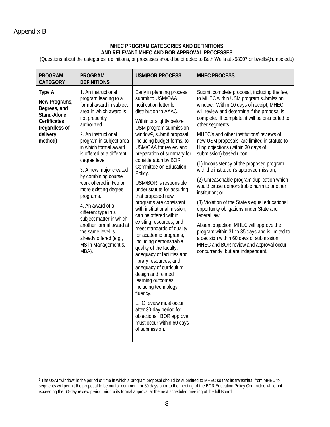$\overline{a}$ 

#### **MHEC PROGRAM CATEGORIES AND DEFINITIONS AND RELEVANT MHEC AND BOR APPROVAL PROCESSES**

(Questions about the categories, definitions, or processes should be directed to Beth Wells at x58907 or bwells@umbc.edu)

| <b>PROGRAM</b><br><b>CATEGORY</b>                                                                                       | <b>PROGRAM</b><br><b>DEFINITIONS</b>                                                                                                                                                                                                                                                                                                                                                                                                                                                                                                                     | <b>USM/BOR PROCESS</b>                                                                                                                                                                                                                                                                                                                                                                                                                                                                                                                                                                                                                                                                                                                                                                                                                                                                                                                                          | <b>MHEC PROCESS</b>                                                                                                                                                                                                                                                                                                                                                                                                                                                                                                                                                                                                                                                                                                                                                                                                                                                                                                                                                |
|-------------------------------------------------------------------------------------------------------------------------|----------------------------------------------------------------------------------------------------------------------------------------------------------------------------------------------------------------------------------------------------------------------------------------------------------------------------------------------------------------------------------------------------------------------------------------------------------------------------------------------------------------------------------------------------------|-----------------------------------------------------------------------------------------------------------------------------------------------------------------------------------------------------------------------------------------------------------------------------------------------------------------------------------------------------------------------------------------------------------------------------------------------------------------------------------------------------------------------------------------------------------------------------------------------------------------------------------------------------------------------------------------------------------------------------------------------------------------------------------------------------------------------------------------------------------------------------------------------------------------------------------------------------------------|--------------------------------------------------------------------------------------------------------------------------------------------------------------------------------------------------------------------------------------------------------------------------------------------------------------------------------------------------------------------------------------------------------------------------------------------------------------------------------------------------------------------------------------------------------------------------------------------------------------------------------------------------------------------------------------------------------------------------------------------------------------------------------------------------------------------------------------------------------------------------------------------------------------------------------------------------------------------|
| Type A:<br>New Programs,<br>Degrees, and<br>Stand-Alone<br><b>Certificates</b><br>(regardless of<br>delivery<br>method) | 1. An instructional<br>program leading to a<br>formal award in subject<br>area in which award is<br>not presently<br>authorized.<br>2. An instructional<br>program in subject area<br>in which formal award<br>is offered at a different<br>degree level.<br>3. A new major created<br>by combining course<br>work offered in two or<br>more existing degree<br>programs.<br>4. An award of a<br>different type in a<br>subject matter in which<br>another formal award at<br>the same level is<br>already offered (e.g.,<br>MS in Management &<br>MBA). | Early in planning process,<br>submit to USM/OAA<br>notification letter for<br>distribution to AAAC.<br>Within or slightly before<br>USM program submission<br>window <sup>2</sup> , submit proposal,<br>including budget forms, to<br>USM/OAA for review and<br>preparation of summary for<br>consideration by BOR<br>Committee on Education<br>Policy.<br>USM/BOR is responsible<br>under statute for assuring<br>that proposed new<br>programs are consistent<br>with institutional mission,<br>can be offered within<br>existing resources, and<br>meet standards of quality<br>for academic programs,<br>including demonstrable<br>quality of the faculty;<br>adequacy of facilities and<br>library resources; and<br>adequacy of curriculum<br>design and related<br>learning outcomes,<br>including technology<br>fluency.<br>EPC review must occur<br>after 30-day period for<br>objections. BOR approval<br>must occur within 60 days<br>of submission. | Submit complete proposal, including the fee,<br>to MHEC within USM program submission<br>window. Within 10 days of receipt, MHEC<br>will review and determine if the proposal is<br>complete. If complete, it will be distributed to<br>other segments.<br>MHEC's and other institutions' reviews of<br>new USM proposals are limited in statute to<br>filing objections (within 30 days of<br>submission) based upon:<br>(1) Inconsistency of the proposed program<br>with the institution's approved mission;<br>(2) Unreasonable program duplication which<br>would cause demonstrable harm to another<br>institution; or<br>(3) Violation of the State's equal educational<br>opportunity obligations under State and<br>federal law.<br>Absent objection, MHEC will approve the<br>program within 31 to 35 days and is limited to<br>a decision within 60 days of submission.<br>MHEC and BOR review and approval occur<br>concurrently, but are independent. |

<span id="page-7-0"></span><sup>&</sup>lt;sup>2</sup> The USM "window" is the period of time in which a program proposal should be submitted to MHEC so that its transmittal from MHEC to segments will permit the proposal to be out for comment for 30 days prior to the meeting of the BOR Education Policy Committee while not exceeding the 60-day review period prior to its formal approval at the next scheduled meeting of the full Board.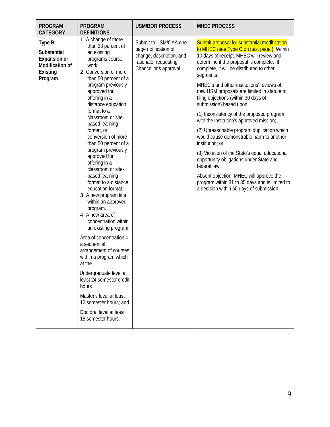| <b>PROGRAM</b><br><b>CATEGORY</b>                                                              | <b>PROGRAM</b><br><b>DEFINITIONS</b>                                                                                                                                                        | <b>USM/BOR PROCESS</b>                                                                                                                                      | <b>MHEC PROCESS</b>                                                                                                                                                                                                                           |
|------------------------------------------------------------------------------------------------|---------------------------------------------------------------------------------------------------------------------------------------------------------------------------------------------|-------------------------------------------------------------------------------------------------------------------------------------------------------------|-----------------------------------------------------------------------------------------------------------------------------------------------------------------------------------------------------------------------------------------------|
| Type B:<br><b>Substantial</b><br><b>Expansion or</b><br>Modification of<br>Existing<br>Program | 1. A change of more<br>than 33 percent of<br>an existing<br>programs course<br>work;<br>2. Conversion of more<br>than 50 percent of a                                                       | Submit to USM/OAA one-<br>page notification of<br>change, description, and<br>rationale, requesting<br>Chancellor's approval.                               | Submit proposal for substantial modification<br>to MHEC (see Type C on next page.). Within<br>10 days of receipt, MHEC will review and<br>determine if the proposal is complete. If<br>complete, it will be distributed to other<br>segments. |
|                                                                                                | program previously<br>approved for<br>offering in a<br>distance education                                                                                                                   | MHEC's and other institutions' reviews of<br>new USM proposals are limited in statute to<br>filing objections (within 30 days of<br>submission) based upon: |                                                                                                                                                                                                                                               |
|                                                                                                | format to a<br>classroom or site-<br>based learning                                                                                                                                         |                                                                                                                                                             | (1) Inconsistency of the proposed program<br>with the institution's approved mission;                                                                                                                                                         |
|                                                                                                | format, or<br>conversion of more<br>than 50 percent of a                                                                                                                                    |                                                                                                                                                             | (2) Unreasonable program duplication which<br>would cause demonstrable harm to another<br>institution; or                                                                                                                                     |
|                                                                                                | program previously<br>approved for<br>offering in a<br>classroom or site-                                                                                                                   |                                                                                                                                                             | (3) Violation of the State's equal educational<br>opportunity obligations under State and<br>federal law.                                                                                                                                     |
|                                                                                                | based learning<br>format to a distance<br>education format;<br>3. A new program title<br>within an approved<br>program.<br>4. A new area of<br>concentration within<br>an existing program: |                                                                                                                                                             | Absent objection, MHEC will approve the<br>program within 31 to 35 days and is limited to<br>a decision within 60 days of submission.                                                                                                         |
|                                                                                                | Area of concentration =<br>a sequential<br>arrangement of courses<br>within a program which<br>at the                                                                                       |                                                                                                                                                             |                                                                                                                                                                                                                                               |
|                                                                                                | Undergraduate level at<br>least 24 semester credit<br>hours                                                                                                                                 |                                                                                                                                                             |                                                                                                                                                                                                                                               |
|                                                                                                | Master's level at least<br>12 semester hours; and                                                                                                                                           |                                                                                                                                                             |                                                                                                                                                                                                                                               |
|                                                                                                | Doctoral level at least<br>18 semester hours.                                                                                                                                               |                                                                                                                                                             |                                                                                                                                                                                                                                               |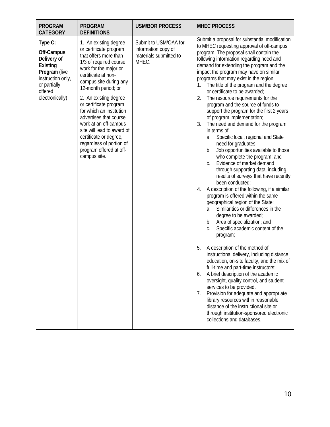| <b>PROGRAM</b><br><b>CATEGORY</b>                                                                                                    | <b>PROGRAM</b><br><b>DEFINITIONS</b>                                                                                                                                                                                                                                                                                                                                                                                                                                 | <b>USM/BOR PROCESS</b>                                                          | <b>MHEC PROCESS</b>                                                                                                                                                                                                                                                                                                                                                                                                                                                                                                                                                                                                                                                                                                                                                                                                                                                                                                                                                                                                                                                                                                                                                                                                                                                                                                                                                                                                                                                                                                                                                                                                                                                                                                             |
|--------------------------------------------------------------------------------------------------------------------------------------|----------------------------------------------------------------------------------------------------------------------------------------------------------------------------------------------------------------------------------------------------------------------------------------------------------------------------------------------------------------------------------------------------------------------------------------------------------------------|---------------------------------------------------------------------------------|---------------------------------------------------------------------------------------------------------------------------------------------------------------------------------------------------------------------------------------------------------------------------------------------------------------------------------------------------------------------------------------------------------------------------------------------------------------------------------------------------------------------------------------------------------------------------------------------------------------------------------------------------------------------------------------------------------------------------------------------------------------------------------------------------------------------------------------------------------------------------------------------------------------------------------------------------------------------------------------------------------------------------------------------------------------------------------------------------------------------------------------------------------------------------------------------------------------------------------------------------------------------------------------------------------------------------------------------------------------------------------------------------------------------------------------------------------------------------------------------------------------------------------------------------------------------------------------------------------------------------------------------------------------------------------------------------------------------------------|
| Type C:<br>Off-Campus<br>Delivery of<br>Existing<br>Program (live<br>instruction only,<br>or partially<br>offered<br>electronically) | 1. An existing degree<br>or certificate program<br>that offers more than<br>1/3 of required course<br>work for the major or<br>certificate at non-<br>campus site during any<br>12-month period; or<br>2. An existing degree<br>or certificate program<br>for which an institution<br>advertises that course<br>work at an off-campus<br>site will lead to award of<br>certificate or degree,<br>regardless of portion of<br>program offered at off-<br>campus site. | Submit to USM/OAA for<br>information copy of<br>materials submitted to<br>MHEC. | Submit a proposal for substantial modification<br>to MHEC requesting approval of off-campus<br>program. The proposal shall contain the<br>following information regarding need and<br>demand for extending the program and the<br>impact the program may have on similar<br>programs that may exist in the region:<br>The title of the program and the degree<br>1.<br>or certificate to be awarded;<br>The resource requirements for the<br>2.<br>program and the source of funds to<br>support the program for the first 2 years<br>of program implementation;<br>The need and demand for the program<br>3.<br>in terms of:<br>Specific local, regional and State<br>a.<br>need for graduates;<br>Job opportunities available to those<br>b.<br>who complete the program; and<br>Evidence of market demand<br>C.<br>through supporting data, including<br>results of surveys that have recently<br>been conducted;<br>A description of the following, if a similar<br>4.<br>program is offered within the same<br>geographical region of the State:<br>Similarities or differences in the<br>a.<br>degree to be awarded;<br>Area of specialization; and<br>b.<br>Specific academic content of the<br>C.<br>program;<br>5.<br>A description of the method of<br>instructional delivery, including distance<br>education, on-site faculty, and the mix of<br>full-time and part-time instructors;<br>A brief description of the academic<br>6.<br>oversight, quality control, and student<br>services to be provided.<br>Provision for adequate and appropriate<br>7.<br>library resources within reasonable<br>distance of the instructional site or<br>through institution-sponsored electronic<br>collections and databases. |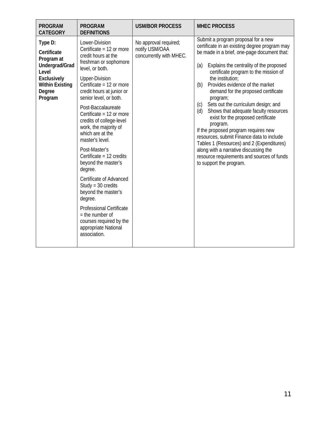| <b>PROGRAM</b><br><b>CATEGORY</b>                                                                                                    | <b>PROGRAM</b><br><b>DEFINITIONS</b>                                                                                                                                                                                                                                                                                                                                                                                                                                                                                                                                                                                                                                       | <b>USM/BOR PROCESS</b>                                             | <b>MHEC PROCESS</b>                                                                                                                                                                                                                                                                                                                                                                                                                                                                                                                                                                                                                                                                                                                                 |
|--------------------------------------------------------------------------------------------------------------------------------------|----------------------------------------------------------------------------------------------------------------------------------------------------------------------------------------------------------------------------------------------------------------------------------------------------------------------------------------------------------------------------------------------------------------------------------------------------------------------------------------------------------------------------------------------------------------------------------------------------------------------------------------------------------------------------|--------------------------------------------------------------------|-----------------------------------------------------------------------------------------------------------------------------------------------------------------------------------------------------------------------------------------------------------------------------------------------------------------------------------------------------------------------------------------------------------------------------------------------------------------------------------------------------------------------------------------------------------------------------------------------------------------------------------------------------------------------------------------------------------------------------------------------------|
| Type D:<br>Certificate<br>Program at<br>Undergrad/Grad<br>Level<br><b>Exclusively</b><br><b>Within Existing</b><br>Degree<br>Program | Lower-Division<br>Certificate = $12$ or more<br>credit hours at the<br>freshman or sophomore<br>level, or both.<br><b>Upper-Division</b><br>Certificate = 12 or more<br>credit hours at junior or<br>senior level, or both.<br>Post-Baccalaureate<br>Certificate = $12$ or more<br>credits of college-level<br>work, the majority of<br>which are at the<br>master's level.<br>Post-Master's<br>Certificate = 12 credits<br>beyond the master's<br>degree.<br>Certificate of Advanced<br>$Study = 30 credits$<br>beyond the master's<br>degree.<br><b>Professional Certificate</b><br>$=$ the number of<br>courses required by the<br>appropriate National<br>association. | No approval required;<br>notify USM/OAA<br>concurrently with MHEC. | Submit a program proposal for a new<br>certificate in an existing degree program may<br>be made in a brief, one-page document that:<br>Explains the centrality of the proposed<br>(a)<br>certificate program to the mission of<br>the institution;<br>Provides evidence of the market<br>(b)<br>demand for the proposed certificate<br>program;<br>Sets out the curriculum design; and<br>(c)<br>Shows that adequate faculty resources<br>(d)<br>exist for the proposed certificate<br>program.<br>If the proposed program requires new<br>resources, submit Finance data to include<br>Tables 1 (Resources) and 2 (Expenditures)<br>along with a narrative discussing the<br>resource requirements and sources of funds<br>to support the program. |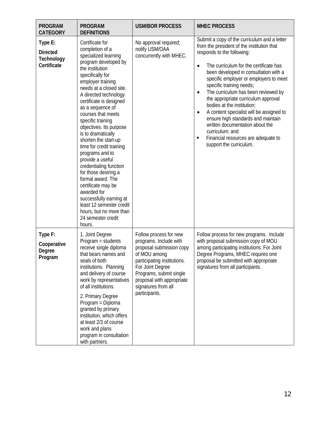| <b>PROGRAM</b><br><b>CATEGORY</b>                       | <b>PROGRAM</b><br><b>DEFINITIONS</b>                                                                                                                                                                                                                                                                                                                                                                                                                                                                                                                                                                                                                                   | <b>USM/BOR PROCESS</b>                                                                                                                                                                                                                          | <b>MHEC PROCESS</b>                                                                                                                                                                                                                                                                                                                                                                                                                                                                                                                                                                                                                                 |
|---------------------------------------------------------|------------------------------------------------------------------------------------------------------------------------------------------------------------------------------------------------------------------------------------------------------------------------------------------------------------------------------------------------------------------------------------------------------------------------------------------------------------------------------------------------------------------------------------------------------------------------------------------------------------------------------------------------------------------------|-------------------------------------------------------------------------------------------------------------------------------------------------------------------------------------------------------------------------------------------------|-----------------------------------------------------------------------------------------------------------------------------------------------------------------------------------------------------------------------------------------------------------------------------------------------------------------------------------------------------------------------------------------------------------------------------------------------------------------------------------------------------------------------------------------------------------------------------------------------------------------------------------------------------|
| Type E:<br><b>Directed</b><br>Technology<br>Certificate | Certificate for<br>completion of a<br>specialized learning<br>program developed by<br>the institution<br>specifically for<br>employer training<br>needs at a closed site.<br>A directed technology<br>certificate is designed<br>as a sequence of<br>courses that meets<br>specific training<br>objectives. Its purpose<br>is to dramatically<br>shorten the start-up<br>time for credit training<br>programs and to<br>provide a useful<br>credentialing function<br>for those desiring a<br>formal award. The<br>certificate may be<br>awarded for<br>successfully earning at<br>least 12 semester credit<br>hours, but no more than<br>24 semester credit<br>hours. | No approval required;<br>notify USM/OAA<br>concurrently with MHEC.                                                                                                                                                                              | Submit a copy of the curriculum and a letter<br>from the president of the institution that<br>responds to the following:<br>The curriculum for the certificate has<br>$\bullet$<br>been developed in consultation with a<br>specific employer or employers to meet<br>specific training needs;<br>The curriculum has been reviewed by<br>$\bullet$<br>the appropriate curriculum approval<br>bodies at the institution;<br>A content specialist will be assigned to<br>$\bullet$<br>ensure high standards and maintain<br>written documentation about the<br>curriculum; and<br>Financial resources are adequate to<br>٠<br>support the curriculum. |
| Type F:<br>Cooperative<br>Degree<br>Program             | 1. Joint Degree<br>Program = students<br>receive single diploma<br>that bears names and<br>seals of both<br>institutions. Planning<br>and delivery of course<br>work by representatives<br>of all institutions.<br>2. Primary Degree<br>Program = Diploma<br>granted by primary<br>institution, which offers<br>at least 2/3 of course<br>work and plans<br>program in consultation<br>with partners.                                                                                                                                                                                                                                                                  | Follow process for new<br>programs. Include with<br>proposal submission copy<br>of MOU among<br>participating institutions.<br>For Joint Degree<br>Programs, submit single<br>proposal with appropriate<br>signatures from all<br>participants. | Follow process for new programs. Include<br>with proposal submission copy of MOU<br>among participating institutions. For Joint<br>Degree Programs, MHEC requires one<br>proposal be submitted with appropriate<br>signatures from all participants.                                                                                                                                                                                                                                                                                                                                                                                                |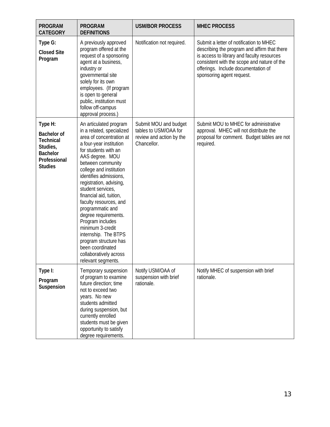| <b>PROGRAM</b><br><b>CATEGORY</b>                                                                    | <b>PROGRAM</b><br><b>DEFINITIONS</b>                                                                                                                                                                                                                                                                                                                                                                                                                                                                                                          | <b>USM/BOR PROCESS</b>                                                                    | <b>MHEC PROCESS</b>                                                                                                                                                                                                                                      |
|------------------------------------------------------------------------------------------------------|-----------------------------------------------------------------------------------------------------------------------------------------------------------------------------------------------------------------------------------------------------------------------------------------------------------------------------------------------------------------------------------------------------------------------------------------------------------------------------------------------------------------------------------------------|-------------------------------------------------------------------------------------------|----------------------------------------------------------------------------------------------------------------------------------------------------------------------------------------------------------------------------------------------------------|
| Type G:<br><b>Closed Site</b><br>Program                                                             | A previously approved<br>program offered at the<br>request of a sponsoring<br>agent at a business,<br>industry or<br>governmental site<br>solely for its own<br>employees. (If program<br>is open to general<br>public, institution must<br>follow off-campus<br>approval process.)                                                                                                                                                                                                                                                           | Notification not required.                                                                | Submit a letter of notification to MHEC<br>describing the program and affirm that there<br>is access to library and faculty resources<br>consistent with the scope and nature of the<br>offerings. Include documentation of<br>sponsoring agent request. |
| Type H:<br>Bachelor of<br>Technical<br>Studies,<br><b>Bachelor</b><br>Professional<br><b>Studies</b> | An articulated program<br>in a related, specialized<br>area of concentration at<br>a four-year institution<br>for students with an<br>AAS degree. MOU<br>between community<br>college and institution<br>identifies admissions,<br>registration, advising,<br>student services,<br>financial aid, tuition,<br>faculty resources, and<br>programmatic and<br>degree requirements.<br>Program includes<br>minimum 3-credit<br>internship. The BTPS<br>program structure has<br>been coordinated<br>collaboratively across<br>relevant segments. | Submit MOU and budget<br>tables to USM/OAA for<br>review and action by the<br>Chancellor. | Submit MOU to MHEC for administrative<br>approval. MHEC will not distribute the<br>proposal for comment. Budget tables are not<br>required.                                                                                                              |
| Type I:<br>Program<br>Suspension                                                                     | Temporary suspension<br>of program to examine<br>future direction; time<br>not to exceed two<br>years. No new<br>students admitted<br>during suspension, but<br>currently enrolled<br>students must be given<br>opportunity to satisfy<br>degree requirements.                                                                                                                                                                                                                                                                                | Notify USM/OAA of<br>suspension with brief<br>rationale.                                  | Notify MHEC of suspension with brief<br>rationale.                                                                                                                                                                                                       |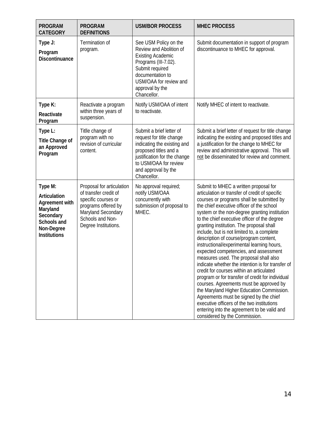| <b>PROGRAM</b><br><b>CATEGORY</b>                                                                                             | <b>PROGRAM</b><br><b>DEFINITIONS</b>                                                                                                                               | <b>USM/BOR PROCESS</b>                                                                                                                                                                                      | <b>MHEC PROCESS</b>                                                                                                                                                                                                                                                                                                                                                                                                                                                                                                                                                                                                                                                                                                                                                                                                                                                                                                                                                          |
|-------------------------------------------------------------------------------------------------------------------------------|--------------------------------------------------------------------------------------------------------------------------------------------------------------------|-------------------------------------------------------------------------------------------------------------------------------------------------------------------------------------------------------------|------------------------------------------------------------------------------------------------------------------------------------------------------------------------------------------------------------------------------------------------------------------------------------------------------------------------------------------------------------------------------------------------------------------------------------------------------------------------------------------------------------------------------------------------------------------------------------------------------------------------------------------------------------------------------------------------------------------------------------------------------------------------------------------------------------------------------------------------------------------------------------------------------------------------------------------------------------------------------|
| Type J:<br>Program<br><b>Discontinuance</b>                                                                                   | Termination of<br>program.                                                                                                                                         | See USM Policy on the<br>Review and Abolition of<br><b>Existing Academic</b><br>Programs (III-7.02).<br>Submit required<br>documentation to<br>USM/OAA for review and<br>approval by the<br>Chancellor.     | Submit documentation in support of program<br>discontinuance to MHEC for approval.                                                                                                                                                                                                                                                                                                                                                                                                                                                                                                                                                                                                                                                                                                                                                                                                                                                                                           |
| Type K:<br>Reactivate<br>Program                                                                                              | Reactivate a program<br>within three years of<br>suspension.                                                                                                       | Notify USM/OAA of intent<br>to reactivate.                                                                                                                                                                  | Notify MHEC of intent to reactivate.                                                                                                                                                                                                                                                                                                                                                                                                                                                                                                                                                                                                                                                                                                                                                                                                                                                                                                                                         |
| Type L:<br>Title Change of<br>an Approved<br>Program                                                                          | Titlle change of<br>program with no<br>revision of curricular<br>content.                                                                                          | Submit a brief letter of<br>request for title change<br>indicating the existing and<br>proposed titles and a<br>justification for the change<br>to USM/OAA for review<br>and approval by the<br>Chancellor. | Submit a brief letter of request for title change<br>indicating the existing and proposed titles and<br>a justification for the change to MHEC for<br>review and administrative approval. This will<br>not be disseminated for review and comment.                                                                                                                                                                                                                                                                                                                                                                                                                                                                                                                                                                                                                                                                                                                           |
| Type M:<br>Articulation<br><b>Agreement with</b><br>Maryland<br>Secondary<br>Schools and<br>Non-Degree<br><b>Institutions</b> | Proposal for articulation<br>of transfer credit of<br>specific courses or<br>programs offered by<br>Maryland Secondary<br>Schools and Non-<br>Degree Institutions. | No approval required;<br>notify USM/OAA<br>concurrently with<br>submission of proposal to<br>MHEC.                                                                                                          | Submit to MHEC a written proposal for<br>articulation or transfer of credit of specific<br>courses or programs shall be submitted by<br>the chief executive officer of the school<br>system or the non-degree granting institution<br>to the chief executive officer of the degree<br>granting institution. The proposal shall<br>include, but is not limited to, a complete<br>description of course/program content,<br>instructional/experimental learning hours,<br>expected competencies, and assessment<br>measures used. The proposal shall also<br>indicate whether the intention is for transfer of<br>credit for courses within an articulated<br>program or for transfer of credit for individual<br>courses. Agreements must be approved by<br>the Maryland Higher Education Commission.<br>Agreements must be signed by the chief<br>executive officers of the two institutions<br>entering into the agreement to be valid and<br>considered by the Commission. |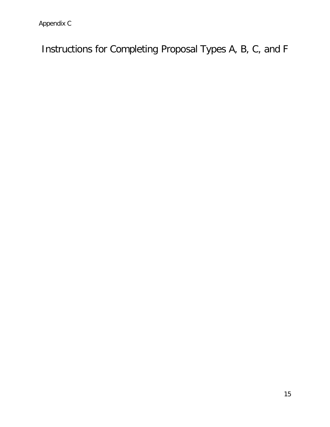Instructions for Completing Proposal Types A, B, C, and F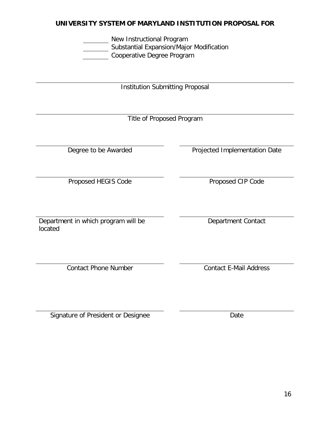### **UNIVERSITY SYSTEM OF MARYLAND INSTITUTION PROPOSAL FOR**

New Instructional Program Substantial Expansion/Major Modification Cooperative Degree Program

Institution Submitting Proposal

Title of Proposed Program

Proposed HEGIS Code Proposed CIP Code

Department in which program will be located

Contact Phone Number Contact E-Mail Address

Signature of President or Designee

Degree to be Awarded **Projected Implementation Date** 

Department Contact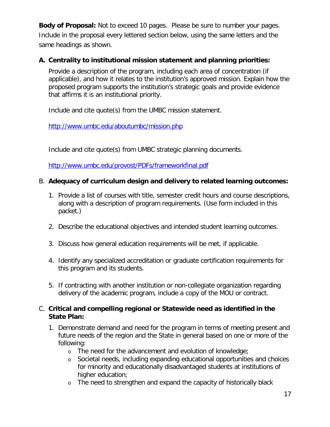**Body of Proposal:** Not to exceed 10 pages. Please be sure to number your pages. Include in the proposal every lettered section below, using the same letters and the same headings as shown.

### **A. Centrality to institutional mission statement and planning priorities:**

Provide a description of the program, including each area of concentration (if applicable), and how it relates to the institution's approved mission. Explain how the proposed program supports the institution's strategic goals and provide evidence that affirms it is an institutional priority.

Include and cite quote(s) from the UMBC mission statement.

<http://www.umbc.edu/aboutumbc/mission.php>

Include and cite quote(s) from UMBC strategic planning documents.

<http://www.umbc.edu/provost/PDFs/frameworkfinal.pdf>

### B. **Adequacy of curriculum design and delivery to related learning outcomes:**

- 1. Provide a list of courses with title, semester credit hours and course descriptions, along with a description of program requirements. (Use form included in this packet.)
- 2. Describe the educational objectives and intended student learning outcomes.
- 3. Discuss how general education requirements will be met, if applicable.
- 4. Identify any specialized accreditation or graduate certification requirements for this program and its students.
- 5. If contracting with another institution or non-collegiate organization regarding delivery of the academic program, include a copy of the MOU or contract.

### C. **Critical and compelling regional or Statewide need as identified in the State Plan:**

- 1. Demonstrate demand and need for the program in terms of meeting present and future needs of the region and the State in general based on one or more of the following:
	- o The need for the advancement and evolution of knowledge;
	- o Societal needs, including expanding educational opportunities and choices for minority and educationally disadvantaged students at institutions of higher education;
	- o The need to strengthen and expand the capacity of historically black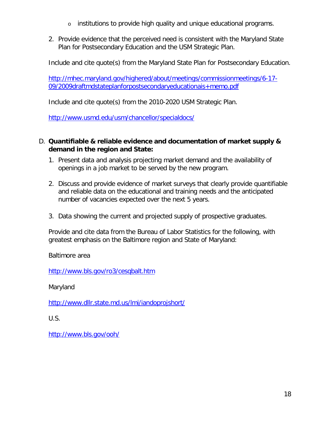- o institutions to provide high quality and unique educational programs.
- 2. Provide evidence that the perceived need is consistent with the Maryland State Plan for Postsecondary Education and the USM Strategic Plan.

Include and cite quote(s) from the Maryland State Plan for Postsecondary Education.

[http://mhec.maryland.gov/highered/about/meetings/commissionmeetings/6-17-](http://mhec.maryland.gov/highered/about/meetings/commissionmeetings/6-17-09/2009draftmdstateplanforpostsecondaryeducationais+memo.pdf) [09/2009draftmdstateplanforpostsecondaryeducationais+memo.pdf](http://mhec.maryland.gov/highered/about/meetings/commissionmeetings/6-17-09/2009draftmdstateplanforpostsecondaryeducationais+memo.pdf)

Include and cite quote(s) from the 2010-2020 USM Strategic Plan.

<http://www.usmd.edu/usm/chancellor/specialdocs/>

### D. **Quantifiable & reliable evidence and documentation of market supply & demand in the region and State:**

- 1. Present data and analysis projecting market demand and the availability of openings in a job market to be served by the new program.
- 2. Discuss and provide evidence of market surveys that clearly provide quantifiable and reliable data on the educational and training needs and the anticipated number of vacancies expected over the next 5 years.
- 3. Data showing the current and projected supply of prospective graduates.

Provide and cite data from the Bureau of Labor Statistics for the following, with greatest emphasis on the Baltimore region and State of Maryland:

Baltimore area

<http://www.bls.gov/ro3/cesqbalt.htm>

Maryland

<http://www.dllr.state.md.us/lmi/iandoprojshort/>

U.S.

<http://www.bls.gov/ooh/>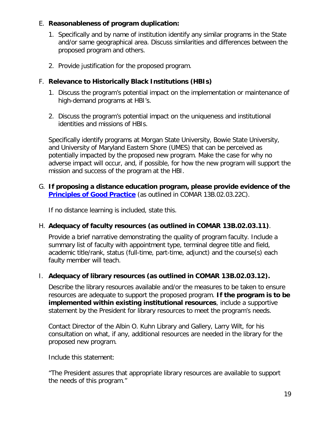### E. **Reasonableness of program duplication:**

- 1. Specifically and by name of institution identify any similar programs in the State and/or same geographical area. Discuss similarities and differences between the proposed program and others.
- 2. Provide justification for the proposed program.

### F. **Relevance to Historically Black Institutions (HBIs)**

- 1. Discuss the program's potential impact on the implementation or maintenance of high-demand programs at HBI's.
- 2. Discuss the program's potential impact on the uniqueness and institutional identities and missions of HBIs.

Specifically identify programs at Morgan State University, Bowie State University, and University of Maryland Eastern Shore (UMES) that can be perceived as potentially impacted by the proposed new program. Make the case for why no adverse impact will occur, and, if possible, for how the new program will support the mission and success of the program at the HBI.

G. **If proposing a distance education program, please provide evidence of the [Principles of Good Practice](http://www.mhec.state.md.us/higherEd/acadAff/AcadProgInstitApprovals/AcadProgProposalInfo/Principles%20of%20Good%20Practice.pdf)** (as outlined in COMAR 13B.02.03.22C).

If no distance learning is included, state this.

### H. **Adequacy of faculty resources (as outlined in COMAR 13B.02.03.11)**.

Provide a brief narrative demonstrating the quality of program faculty. Include a summary list of faculty with appointment type, terminal degree title and field, academic title/rank, status (full-time, part-time, adjunct) and the course(s) each faulty member will teach.

### I. **Adequacy of library resources (as outlined in COMAR 13B.02.03.12).**

Describe the library resources available and/or the measures to be taken to ensure resources are adequate to support the proposed program. **If the program is to be implemented within existing institutional resources**, include a supportive statement by the President for library resources to meet the program's needs.

Contact Director of the Albin O. Kuhn Library and Gallery, Larry Wilt, for his consultation on what, if any, additional resources are needed in the library for the proposed new program.

Include this statement:

"The President assures that appropriate library resources are available to support the needs of this program."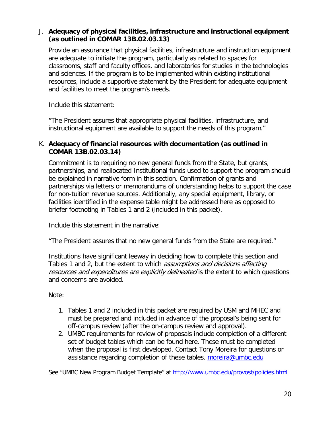### J. **Adequacy of physical facilities, infrastructure and instructional equipment (as outlined in COMAR 13B.02.03.13)**

Provide an assurance that physical facilities, infrastructure and instruction equipment are adequate to initiate the program, particularly as related to spaces for classrooms, staff and faculty offices, and laboratories for studies in the technologies and sciences. If the program is to be implemented within existing institutional resources, include a supportive statement by the President for adequate equipment and facilities to meet the program's needs.

Include this statement:

"The President assures that appropriate physical facilities, infrastructure, and instructional equipment are available to support the needs of this program."

### K. **Adequacy of financial resources with documentation (as outlined in COMAR 13B.02.03.14)**

Commitment is to requiring no new general funds from the State, but grants, partnerships, and reallocated Institutional funds used to support the program should be explained in narrative form in this section. Confirmation of grants and partnerships via letters or memorandums of understanding helps to support the case for non-tuition revenue sources. Additionally, any special equipment, library, or facilities identified in the expense table might be addressed here as opposed to briefer footnoting in Tables 1 and 2 (included in this packet).

Include this statement in the narrative:

"The President assures that no new general funds from the State are required."

Institutions have significant leeway in deciding how to complete this section and Tables 1 and 2, but the extent to which *assumptions and decisions affecting* resources and expenditures are explicitly delineated is the extent to which questions and concerns are avoided.

Note:

- 1. Tables 1 and 2 included in this packet are required by USM and MHEC and must be prepared and included in advance of the proposal's being sent for off-campus review (after the on-campus review and approval).
- 2. UMBC requirements for review of proposals include completion of a different set of budget tables which can be found here. These must be completed when the proposal is first developed. Contact Tony Moreira for questions or assistance regarding completion of these tables. [moreira@umbc.edu](mailto:moreira@umbc.edu)

See "UMBC New Program Budget Template" at<http://www.umbc.edu/provost/policies.html>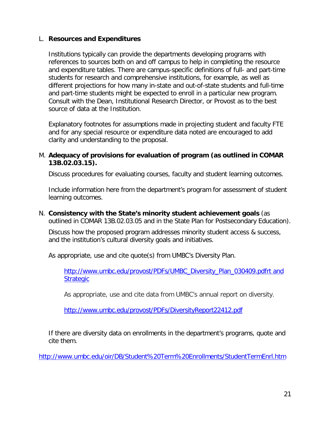### L. **Resources and Expenditures**

Institutions typically can provide the departments developing programs with references to sources both on and off campus to help in completing the resource and expenditure tables. There are campus-specific definitions of full- and part-time students for research and comprehensive institutions, for example, as well as different projections for how many in-state and out-of-state students and full-time and part-time students might be expected to enroll in a particular new program. Consult with the Dean, Institutional Research Director, or Provost as to the best source of data at the Institution.

Explanatory footnotes for assumptions made in projecting student and faculty FTE and for any special resource or expenditure data noted are encouraged to add clarity and understanding to the proposal.

### M. **Adequacy of provisions for evaluation of program (as outlined in COMAR 13B.02.03.15).**

Discuss procedures for evaluating courses, faculty and student learning outcomes.

Include information here from the department's program for assessment of student learning outcomes.

N. **Consistency with the State's minority student achievement goals** (as outlined in COMAR 13B.02.03.05 and in the State Plan for Postsecondary Education).

Discuss how the proposed program addresses minority student access & success, and the institution's cultural diversity goals and initiatives.

As appropriate, use and cite quote(s) from UMBC's Diversity Plan.

[http://www.umbc.edu/provost/PDFs/UMBC\\_Diversity\\_Plan\\_030409.pdfrt and](http://www.umbc.edu/provost/PDFs/UMBC_Diversity_Plan_030409.pdfrt%20and%20Strategic)  **Strategic** 

As appropriate, use and cite data from UMBC's annual report on diversity.

<http://www.umbc.edu/provost/PDFs/DiversityReport22412.pdf>

If there are diversity data on enrollments in the department's programs, quote and cite them.

<http://www.umbc.edu/oir/DB/Student%20Term%20Enrollments/StudentTermEnrl.htm>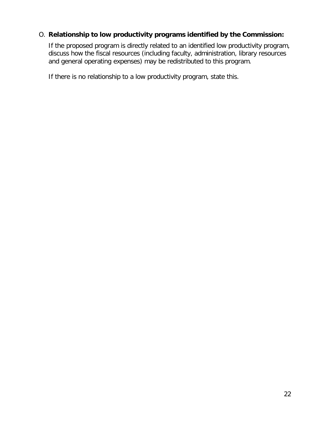### O. **Relationship to low productivity programs identified by the Commission:**

If the proposed program is directly related to an identified low productivity program, discuss how the fiscal resources (including faculty, administration, library resources and general operating expenses) may be redistributed to this program.

If there is no relationship to a low productivity program, state this.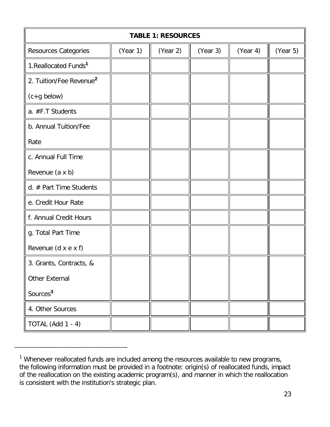| <b>TABLE 1: RESOURCES</b>           |          |          |          |          |          |
|-------------------------------------|----------|----------|----------|----------|----------|
| <b>Resources Categories</b>         | (Year 1) | (Year 2) | (Year 3) | (Year 4) | (Year 5) |
| 1. Reallocated Funds <sup>1</sup>   |          |          |          |          |          |
| 2. Tuition/Fee Revenue <sup>2</sup> |          |          |          |          |          |
| $(c+g$ below)                       |          |          |          |          |          |
| a. #F.T Students                    |          |          |          |          |          |
| b. Annual Tuition/Fee               |          |          |          |          |          |
| Rate                                |          |          |          |          |          |
| c. Annual Full Time                 |          |          |          |          |          |
| Revenue (a x b)                     |          |          |          |          |          |
| d. $#$ Part Time Students           |          |          |          |          |          |
| e. Credit Hour Rate                 |          |          |          |          |          |
| f. Annual Credit Hours              |          |          |          |          |          |
| g. Total Part Time                  |          |          |          |          |          |
| Revenue (d x e x f)                 |          |          |          |          |          |
| 3. Grants, Contracts, &             |          |          |          |          |          |
| Other External                      |          |          |          |          |          |
| Sources <sup>3</sup>                |          |          |          |          |          |
| 4. Other Sources                    |          |          |          |          |          |
| TOTAL (Add 1 - 4)                   |          |          |          |          |          |

 $1$ Whenever reallocated funds are included among the resources available to new programs, the following information must be provided in a footnote: origin(s) of reallocated funds, impact of the reallocation on the existing academic program(s), and manner in which the reallocation is consistent with the institution's strategic plan.

\_\_\_\_\_\_\_\_\_\_\_\_\_\_\_\_\_\_\_\_\_\_\_\_\_\_\_\_\_\_\_\_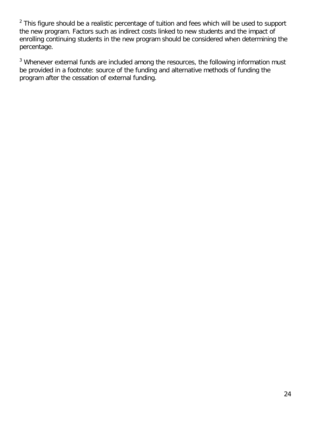$2$  This figure should be a realistic percentage of tuition and fees which will be used to support the new program. Factors such as indirect costs linked to new students and the impact of enrolling continuing students in the new program should be considered when determining the percentage.

<sup>3</sup> Whenever external funds are included among the resources, the following information must be provided in a footnote: source of the funding and alternative methods of funding the program after the cessation of external funding.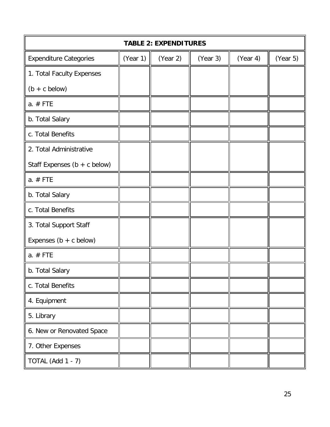| <b>TABLE 2: EXPENDITURES</b>   |          |          |          |          |          |
|--------------------------------|----------|----------|----------|----------|----------|
| <b>Expenditure Categories</b>  | (Year 1) | (Year 2) | (Year 3) | (Year 4) | (Year 5) |
| 1. Total Faculty Expenses      |          |          |          |          |          |
| $(b + c$ below)                |          |          |          |          |          |
| $a.$ # FTE                     |          |          |          |          |          |
| b. Total Salary                |          |          |          |          |          |
| c. Total Benefits              |          |          |          |          |          |
| 2. Total Administrative        |          |          |          |          |          |
| Staff Expenses $(b + c$ below) |          |          |          |          |          |
| $a.$ # FTE                     |          |          |          |          |          |
| b. Total Salary                |          |          |          |          |          |
| c. Total Benefits              |          |          |          |          |          |
| 3. Total Support Staff         |          |          |          |          |          |
| Expenses $(b + c$ below)       |          |          |          |          |          |
| $a. \# FTE$                    |          |          |          |          |          |
| b. Total Salary                |          |          |          |          |          |
| c. Total Benefits              |          |          |          |          |          |
| 4. Equipment                   |          |          |          |          |          |
| 5. Library                     |          |          |          |          |          |
| 6. New or Renovated Space      |          |          |          |          |          |
| 7. Other Expenses              |          |          |          |          |          |
| TOTAL (Add 1 - 7)              |          |          |          |          |          |